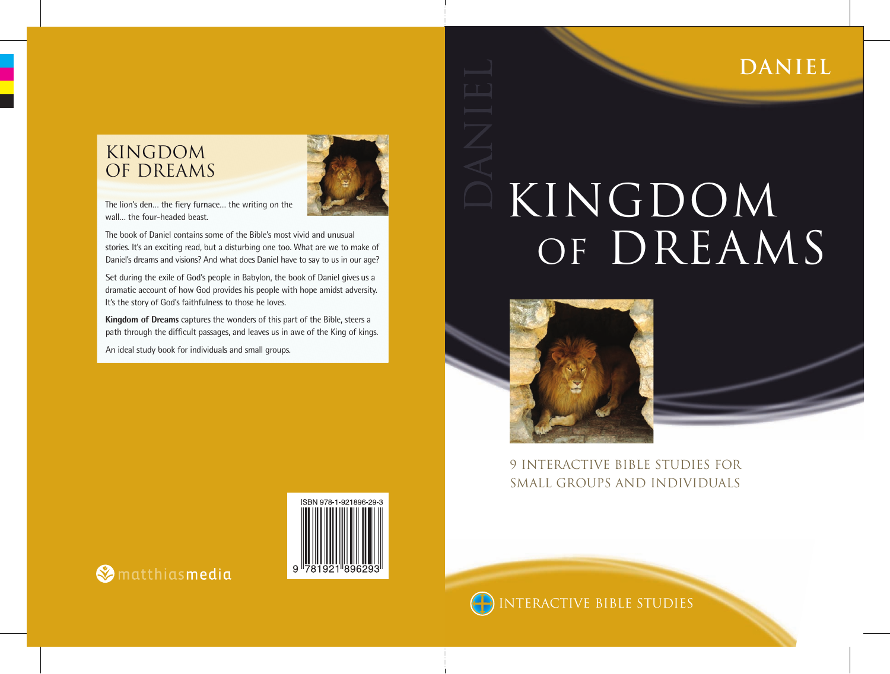## **DANIEL**

# KINGDOM OF DREAMS



9 INTERACTIVE BIBLE STUDIES FOR SMALL GROUPS AND INDIVIDUALS

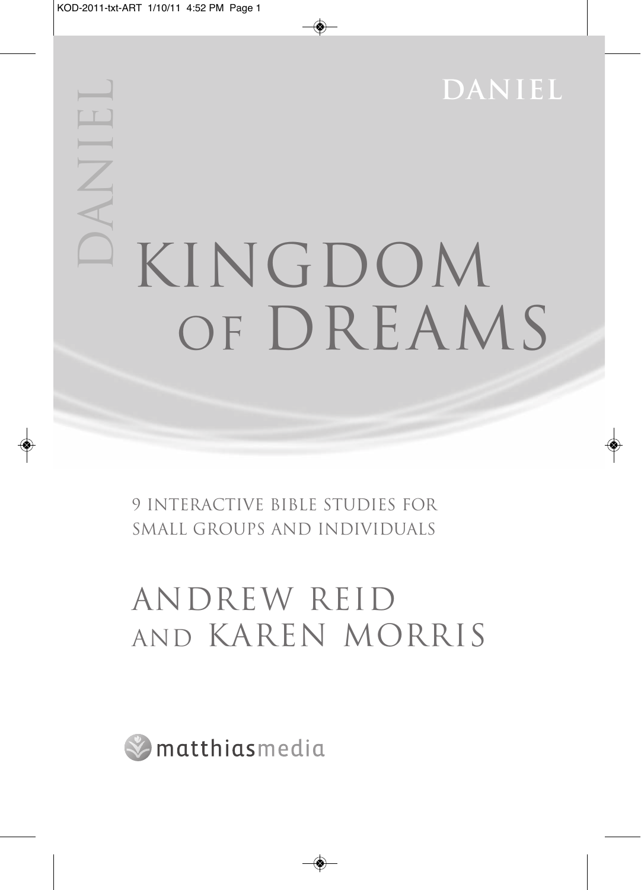**daniel** DANIEL KINGDOM OF DREAMS

> 9 INTERACTIVE BIBLE STUDIES FOR SMALL GROUPS AND INDIVIDUALS

## ANDREW REID AND KAREN MORRIS

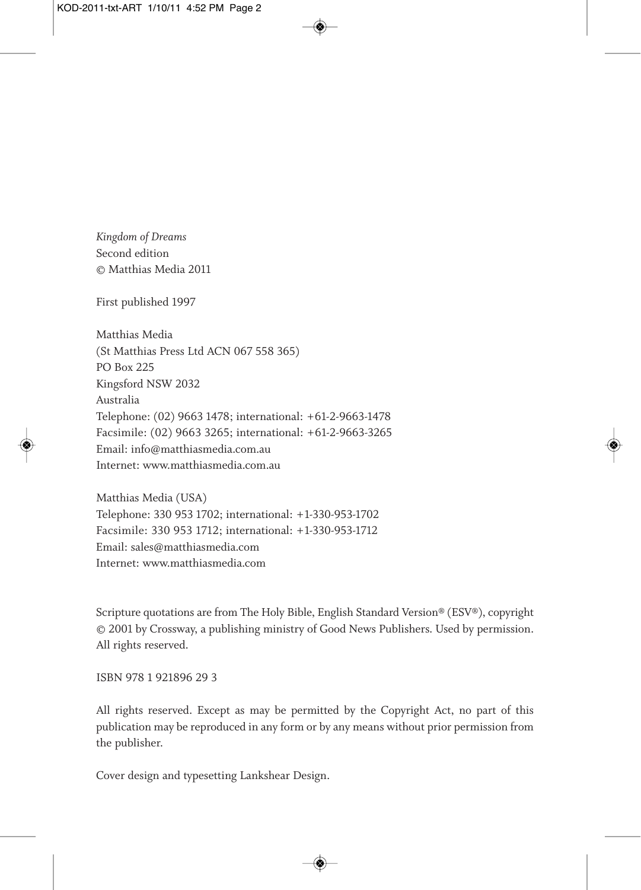*Kingdom of Dreams*  Second edition © Matthias Media 2011

First published 1997

Matthias Media (St Matthias Press Ltd ACN 067 558 365) PO Box 225 Kingsford NSW 2032 Australia Telephone: (02) 9663 1478; international: +61-2-9663-1478 Facsimile: (02) 9663 3265; international: +61-2-9663-3265 Email: info@matthiasmedia.com.au Internet: www.matthiasmedia.com.au

Matthias Media (USA) Telephone: 330 953 1702; international: +1-330-953-1702 Facsimile: 330 953 1712; international: +1-330-953-1712 Email: sales@matthiasmedia.com Internet: www.matthiasmedia.com

Scripture quotations are from The Holy Bible, English Standard Version® (ESV®), copyright © 2001 by Crossway, a publishing ministry of Good News Publishers. Used by permission. All rights reserved.

ISBN 978 1 921896 29 3

All rights reserved. Except as may be permitted by the Copyright Act, no part of this publication may be reproduced in any form or by any means without prior permission from the publisher.

Cover design and typesetting Lankshear Design.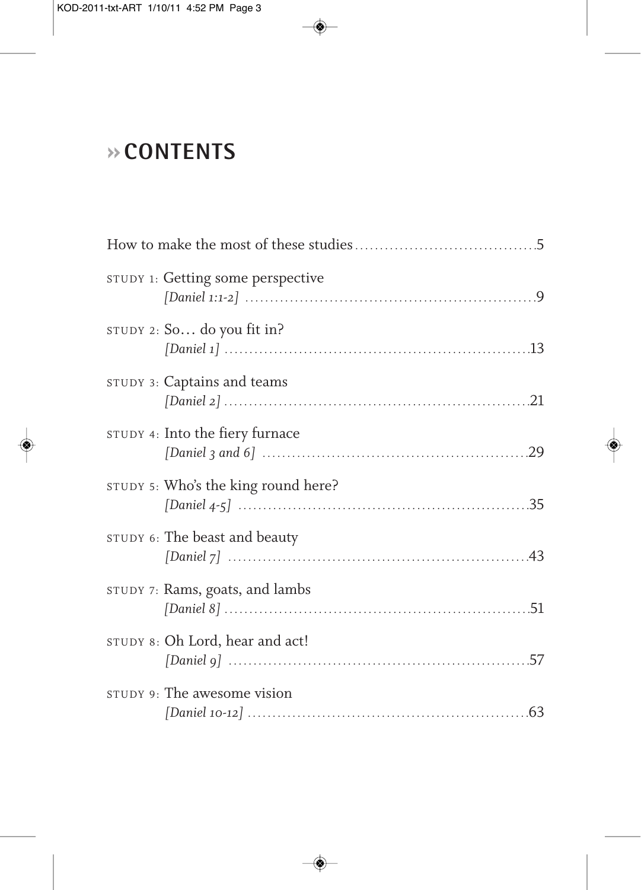## **»CONTENTS**

| STUDY 1: Getting some perspective   |  |  |
|-------------------------------------|--|--|
| STUDY 2: So do you fit in?          |  |  |
| STUDY 3: Captains and teams         |  |  |
| STUDY 4: Into the fiery furnace     |  |  |
| STUDY 5: Who's the king round here? |  |  |
| STUDY 6: The beast and beauty       |  |  |
| STUDY 7: Rams, goats, and lambs     |  |  |
| STUDY 8: Oh Lord, hear and act!     |  |  |
| STUDY 9: The awesome vision         |  |  |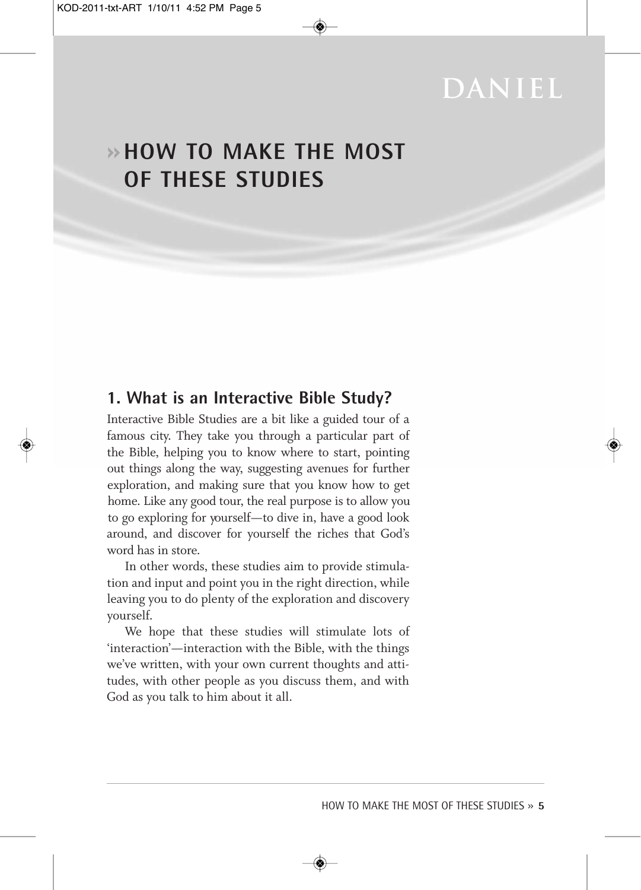## **daniel**

### **»HOW TO MAKE THE MOST OF THESE STUDIES**

#### **1. What is an Interactive Bible Study?**

Interactive Bible Studies are a bit like a guided tour of a famous city. They take you through a particular part of the Bible, helping you to know where to start, pointing out things along the way, suggesting avenues for further exploration, and making sure that you know how to get home. Like any good tour, the real purpose is to allow you to go exploring for yourself—to dive in, have a good look around, and discover for yourself the riches that God's word has in store.

In other words, these studies aim to provide stimulation and input and point you in the right direction, while leaving you to do plenty of the exploration and discovery yourself.

We hope that these studies will stimulate lots of 'interaction'—interaction with the Bible, with the things we've written, with your own current thoughts and attitudes, with other people as you discuss them, and with God as you talk to him about it all.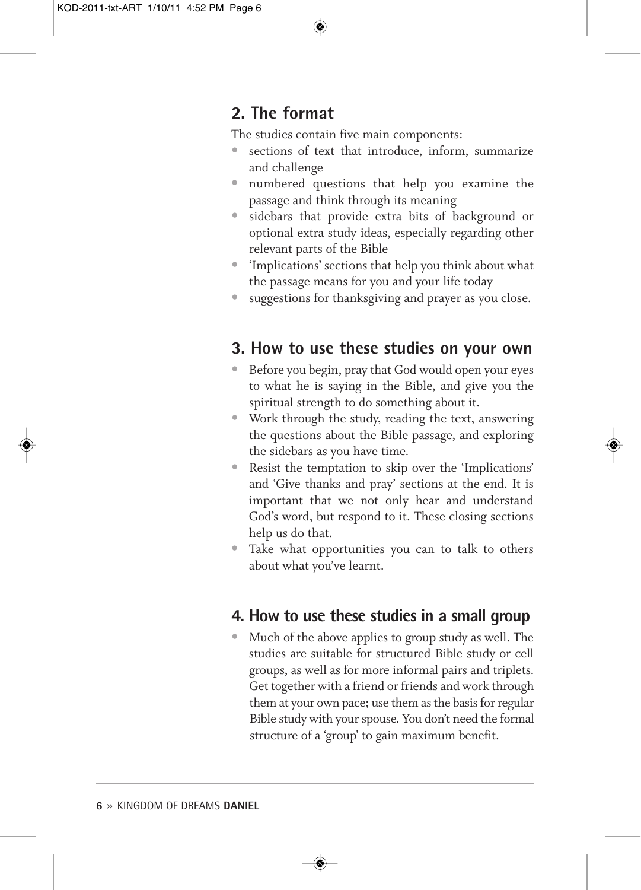#### **2. The format**

The studies contain five main components:

- sections of text that introduce, inform, summarize and challenge
- numbered questions that help you examine the passage and think through its meaning
- sidebars that provide extra bits of background or optional extra study ideas, especially regarding other relevant parts of the Bible
- 'Implications' sections that help you think about what the passage means for you and your life today
- suggestions for thanksgiving and prayer as you close.

#### **3. How to use these studies on your own**

- Before you begin, pray that God would open your eyes to what he is saying in the Bible, and give you the spiritual strength to do something about it.
- Work through the study, reading the text, answering the questions about the Bible passage, and exploring the sidebars as you have time.
- Resist the temptation to skip over the 'Implications' and 'Give thanks and pray' sections at the end. It is important that we not only hear and understand God's word, but respond to it. These closing sections help us do that.
- Take what opportunities you can to talk to others about what you've learnt.

#### **4. How to use these studies in a small group**

• Much of the above applies to group study as well. The studies are suitable for structured Bible study or cell groups, as well as for more informal pairs and triplets. Get together with a friend or friends and work through them at your own pace; use them as the basis for regular Bible study with your spouse. You don't need the formal structure of a 'group' to gain maximum benefit.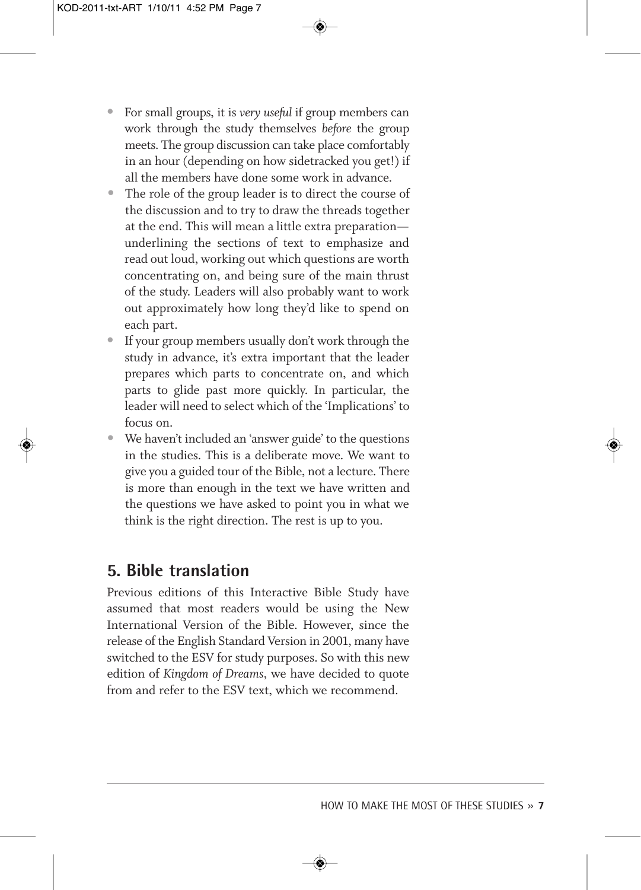- For small groups, it is *very useful* if group members can work through the study themselves *before* the group meets. The group discussion can take place comfortably in an hour (depending on how sidetracked you get!) if all the members have done some work in advance.
- The role of the group leader is to direct the course of the discussion and to try to draw the threads together at the end. This will mean a little extra preparation underlining the sections of text to emphasize and read out loud, working out which questions are worth concentrating on, and being sure of the main thrust of the study. Leaders will also probably want to work out approximately how long they'd like to spend on each part.
- If your group members usually don't work through the study in advance, it's extra important that the leader prepares which parts to concentrate on, and which parts to glide past more quickly. In particular, the leader will need to select which of the 'Implications' to focus on.
- We haven't included an 'answer guide' to the questions in the studies. This is a deliberate move. We want to give you a guided tour of the Bible, not a lecture. There is more than enough in the text we have written and the questions we have asked to point you in what we think is the right direction. The rest is up to you.

#### **5. Bible translation**

Previous editions of this Interactive Bible Study have assumed that most readers would be using the New International Version of the Bible. However, since the release of the English Standard Version in 2001, many have switched to the ESV for study purposes. So with this new edition of *Kingdom of Dreams*, we have decided to quote from and refer to the ESV text, which we recommend.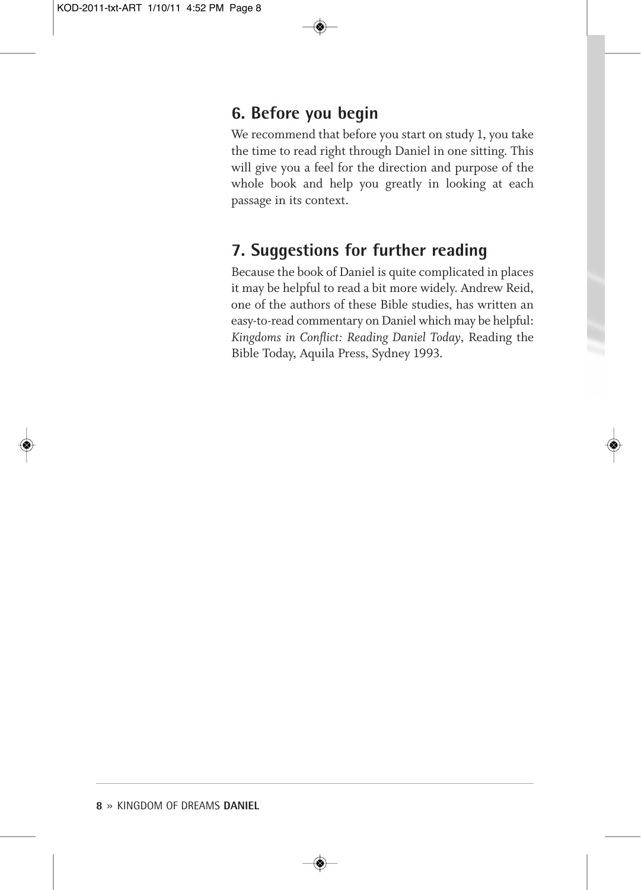#### **6. Before you begin**

We recommend that before you start on study 1, you take the time to read right through Daniel in one sitting. This will give you a feel for the direction and purpose of the whole book and help you greatly in looking at each passage in its context.

#### **7. Suggestions for further reading**

Because the book of Daniel is quite complicated in places it may be helpful to read a bit more widely. Andrew Reid, one of the authors of these Bible studies, has written an easy-to-read commentary on Daniel which may be helpful: *Kingdoms in Conflict: Reading Daniel Today*, Reading the Bible Today, Aquila Press, Sydney 1993.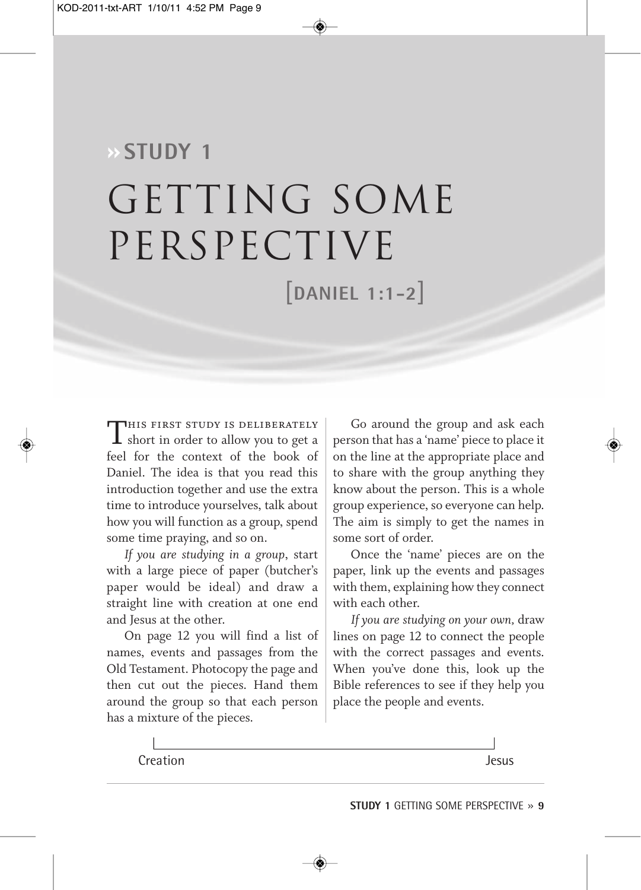# **»STUDY 1** GETTING SOME perspective [**DANIEL 1:1-2**]

THIS FIRST STUDY IS DELIBERATELY  $\blacksquare$  short in order to allow you to get a feel for the context of the book of Daniel. The idea is that you read this introduction together and use the extra time to introduce yourselves, talk about how you will function as a group, spend some time praying, and so on.

*If you are studying in a group*, start with a large piece of paper (butcher's paper would be ideal) and draw a straight line with creation at one end and Jesus at the other.

On page 12 you will find a list of names, events and passages from the Old Testament. Photocopy the page and then cut out the pieces. Hand them around the group so that each person has a mixture of the pieces.

Go around the group and ask each person that has a 'name' piece to place it on the line at the appropriate place and to share with the group anything they know about the person. This is a whole group experience, so everyone can help. The aim is simply to get the names in some sort of order.

Once the 'name' pieces are on the paper, link up the events and passages with them, explaining how they connect with each other.

*If you are studying on your own,* draw lines on page 12 to connect the people with the correct passages and events. When you've done this, look up the Bible references to see if they help you place the people and events.

Creation Jesus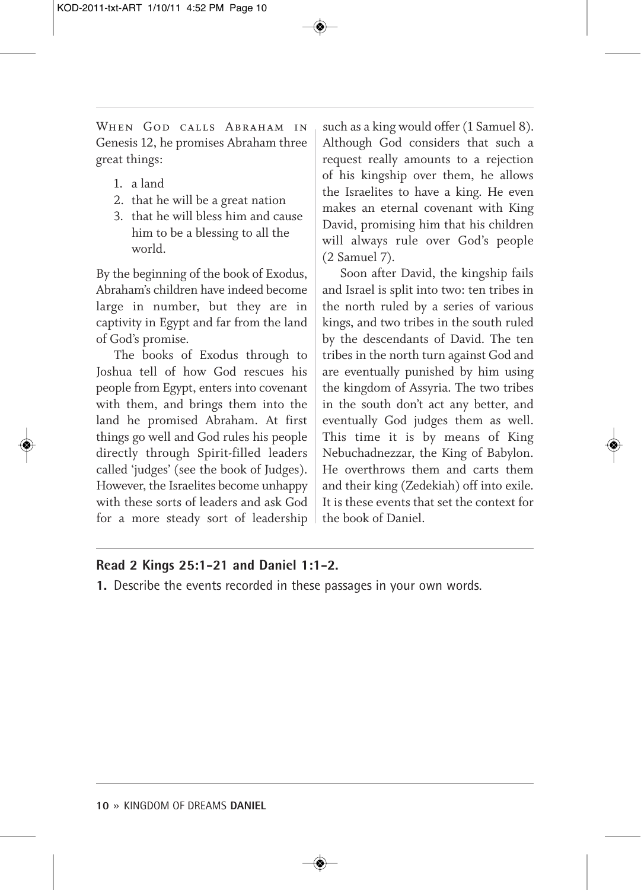WHEN GOD CALLS ABRAHAM IN Genesis 12, he promises Abraham three great things:

- 1. a land
- 2. that he will be a great nation
- 3. that he will bless him and cause him to be a blessing to all the world.

By the beginning of the book of Exodus, Abraham's children have indeed become large in number, but they are in captivity in Egypt and far from the land of God's promise.

The books of Exodus through to Joshua tell of how God rescues his people from Egypt, enters into covenant with them, and brings them into the land he promised Abraham. At first things go well and God rules his people directly through Spirit-filled leaders called 'judges' (see the book of Judges). However, the Israelites become unhappy with these sorts of leaders and ask God for a more steady sort of leadership

such as a king would offer (1 Samuel 8). Although God considers that such a request really amounts to a rejection of his kingship over them, he allows the Israelites to have a king. He even makes an eternal covenant with King David, promising him that his children will always rule over God's people (2 Samuel 7).

Soon after David, the kingship fails and Israel is split into two: ten tribes in the north ruled by a series of various kings, and two tribes in the south ruled by the descendants of David. The ten tribes in the north turn against God and are eventually punished by him using the kingdom of Assyria. The two tribes in the south don't act any better, and eventually God judges them as well. This time it is by means of King Nebuchadnezzar, the King of Babylon. He overthrows them and carts them and their king (Zedekiah) off into exile. It is these events that set the context for the book of Daniel.

#### **Read 2 Kings 25:1-21 and Daniel 1:1-2.**

**1.** Describe the events recorded in these passages in your own words.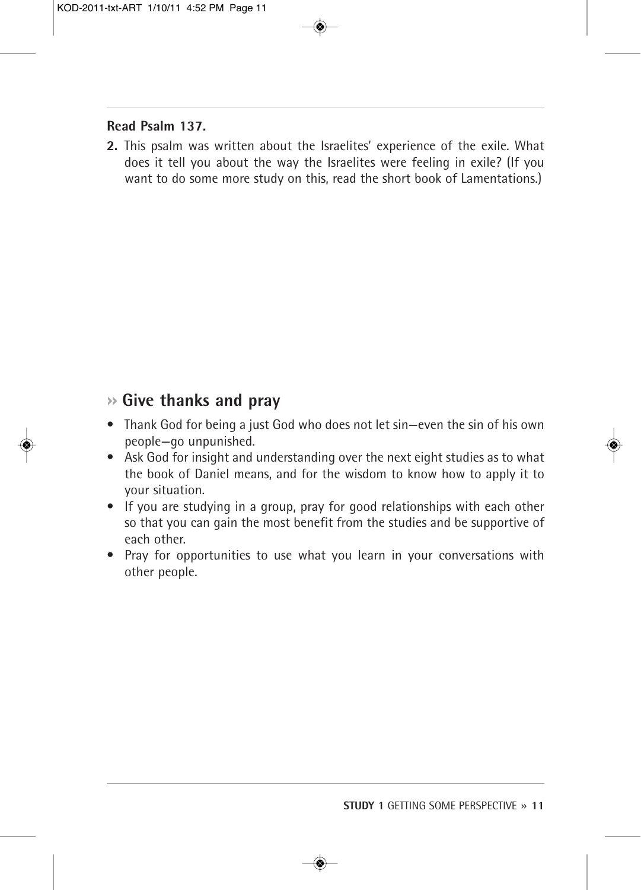#### **Read Psalm 137.**

**2.** This psalm was written about the Israelites' experience of the exile. What does it tell you about the way the Israelites were feeling in exile? (If you want to do some more study on this, read the short book of Lamentations.)

#### **» Give thanks and pray**

- Thank God for being a just God who does not let sin—even the sin of his own people—go unpunished.
- Ask God for insight and understanding over the next eight studies as to what the book of Daniel means, and for the wisdom to know how to apply it to your situation.
- If you are studying in a group, pray for good relationships with each other so that you can gain the most benefit from the studies and be supportive of each other.
- Pray for opportunities to use what you learn in your conversations with other people.